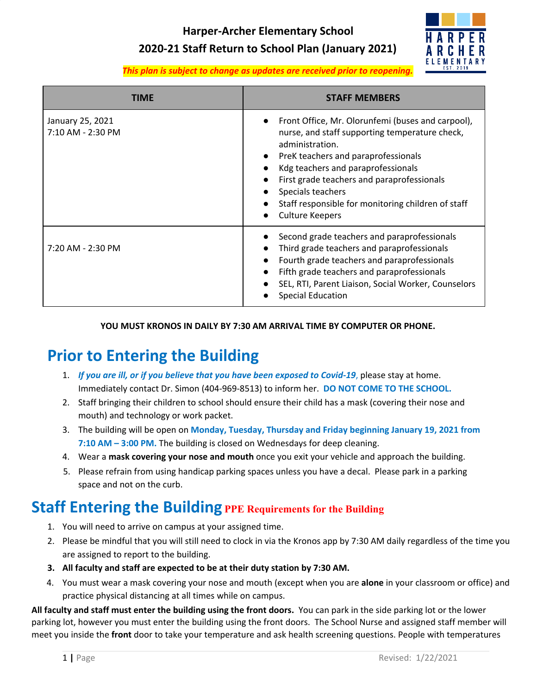**Harper-Archer Elementary School**

#### **2020-21 Staff Return to School Plan (January 2021)**



*This plan is subject to change as updates are received prior to reopening.*

| TIME                                  | <b>STAFF MEMBERS</b>                                                                                                                                                                                                                                                                                                                                   |  |
|---------------------------------------|--------------------------------------------------------------------------------------------------------------------------------------------------------------------------------------------------------------------------------------------------------------------------------------------------------------------------------------------------------|--|
| January 25, 2021<br>7:10 AM - 2:30 PM | Front Office, Mr. Olorunfemi (buses and carpool),<br>nurse, and staff supporting temperature check,<br>administration.<br>PreK teachers and paraprofessionals<br>Kdg teachers and paraprofessionals<br>First grade teachers and paraprofessionals<br>Specials teachers<br>Staff responsible for monitoring children of staff<br><b>Culture Keepers</b> |  |
| 7:20 AM - 2:30 PM                     | Second grade teachers and paraprofessionals<br>Third grade teachers and paraprofessionals<br>Fourth grade teachers and paraprofessionals<br>Fifth grade teachers and paraprofessionals<br>SEL, RTI, Parent Liaison, Social Worker, Counselors<br><b>Special Education</b>                                                                              |  |

#### **YOU MUST KRONOS IN DAILY BY 7:30 AM ARRIVAL TIME BY COMPUTER OR PHONE.**

## **Prior to Entering the Building**

- 1. *If you are ill, or if you believe that you have been exposed to Covid-19*, please stay at home. Immediately contact Dr. Simon (404-969-8513) to inform her. **DO NOT COME TO THE SCHOOL.**
- 2. Staff bringing their children to school should ensure their child has a mask (covering their nose and mouth) and technology or work packet.
- 3. The building will be open on **Monday, Tuesday, Thursday and Friday beginning January 19, 2021 from 7:10 AM – 3:00 PM.** The building is closed on Wednesdays for deep cleaning.
- 4. Wear a **mask covering your nose and mouth** once you exit your vehicle and approach the building.
- 5. Please refrain from using handicap parking spaces unless you have a decal. Please park in a parking space and not on the curb.

#### **Staff Entering the Building PPE Requirements for the Building**

- 1. You will need to arrive on campus at your assigned time.
- 2. Please be mindful that you will still need to clock in via the Kronos app by 7:30 AM daily regardless of the time you are assigned to report to the building.
- **3. All faculty and staff are expected to be at their duty station by 7:30 AM.**
- 4. You must wear a mask covering your nose and mouth (except when you are **alone** in your classroom or office) and practice physical distancing at all times while on campus.

**All faculty and staff must enter the building using the front doors.** You can park in the side parking lot or the lower parking lot, however you must enter the building using the front doors. The School Nurse and assigned staff member will meet you inside the **front** door to take your temperature and ask health screening questions. People with temperatures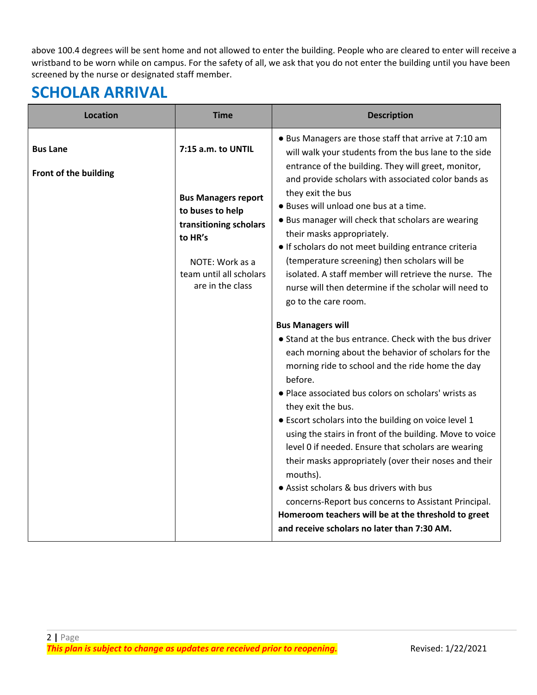above 100.4 degrees will be sent home and not allowed to enter the building. People who are cleared to enter will receive a wristband to be worn while on campus. For the safety of all, we ask that you do not enter the building until you have been screened by the nurse or designated staff member.

## **SCHOLAR ARRIVAL**

| <b>Location</b>                          | <b>Time</b>                                                                                                                                                                 | <b>Description</b>                                                                                                                                                                                                                                                                                                                                                                                                                                                                                                                                                                                                                                                                                                                                                                                                                                                                                                                                                                                                                                                                                                                                                           |  |
|------------------------------------------|-----------------------------------------------------------------------------------------------------------------------------------------------------------------------------|------------------------------------------------------------------------------------------------------------------------------------------------------------------------------------------------------------------------------------------------------------------------------------------------------------------------------------------------------------------------------------------------------------------------------------------------------------------------------------------------------------------------------------------------------------------------------------------------------------------------------------------------------------------------------------------------------------------------------------------------------------------------------------------------------------------------------------------------------------------------------------------------------------------------------------------------------------------------------------------------------------------------------------------------------------------------------------------------------------------------------------------------------------------------------|--|
| <b>Bus Lane</b><br>Front of the building | 7:15 a.m. to UNTIL<br><b>Bus Managers report</b><br>to buses to help<br>transitioning scholars<br>to HR's<br>NOTE: Work as a<br>team until all scholars<br>are in the class | • Bus Managers are those staff that arrive at 7:10 am<br>will walk your students from the bus lane to the side<br>entrance of the building. They will greet, monitor,<br>and provide scholars with associated color bands as<br>they exit the bus<br>. Buses will unload one bus at a time.<br>• Bus manager will check that scholars are wearing<br>their masks appropriately.<br>• If scholars do not meet building entrance criteria<br>(temperature screening) then scholars will be<br>isolated. A staff member will retrieve the nurse. The<br>nurse will then determine if the scholar will need to<br>go to the care room.<br><b>Bus Managers will</b><br>• Stand at the bus entrance. Check with the bus driver<br>each morning about the behavior of scholars for the<br>morning ride to school and the ride home the day<br>before.<br>· Place associated bus colors on scholars' wrists as<br>they exit the bus.<br>• Escort scholars into the building on voice level 1<br>using the stairs in front of the building. Move to voice<br>level 0 if needed. Ensure that scholars are wearing<br>their masks appropriately (over their noses and their<br>mouths). |  |
|                                          |                                                                                                                                                                             | • Assist scholars & bus drivers with bus<br>concerns-Report bus concerns to Assistant Principal.<br>Homeroom teachers will be at the threshold to greet<br>and receive scholars no later than 7:30 AM.                                                                                                                                                                                                                                                                                                                                                                                                                                                                                                                                                                                                                                                                                                                                                                                                                                                                                                                                                                       |  |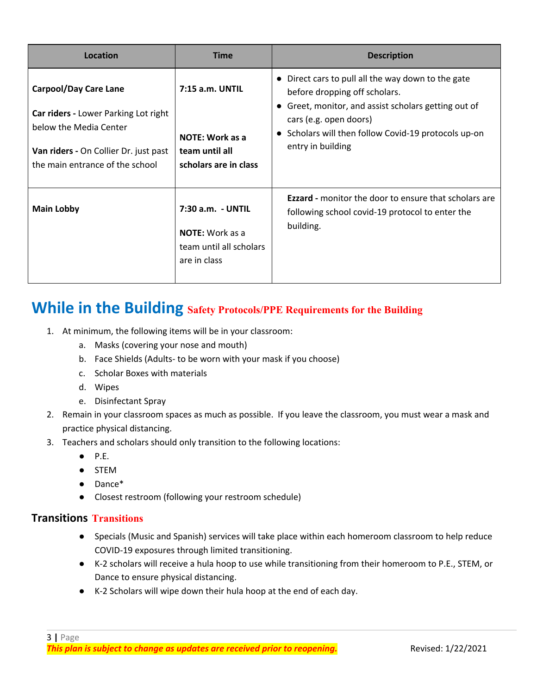| Location                                                                                                                                                                   | <b>Time</b>                                                                            | <b>Description</b>                                                                                                                                                                                                                                                                  |
|----------------------------------------------------------------------------------------------------------------------------------------------------------------------------|----------------------------------------------------------------------------------------|-------------------------------------------------------------------------------------------------------------------------------------------------------------------------------------------------------------------------------------------------------------------------------------|
| <b>Carpool/Day Care Lane</b><br>Car riders - Lower Parking Lot right<br>below the Media Center<br>Van riders - On Collier Dr. just past<br>the main entrance of the school | 7:15 a.m. UNTIL<br><b>NOTE: Work as a</b><br>team until all<br>scholars are in class   | Direct cars to pull all the way down to the gate<br>$\bullet$<br>before dropping off scholars.<br>Greet, monitor, and assist scholars getting out of<br>$\bullet$<br>cars (e.g. open doors)<br>Scholars will then follow Covid-19 protocols up-on<br>$\bullet$<br>entry in building |
| <b>Main Lobby</b>                                                                                                                                                          | 7:30 a.m. - UNTIL<br><b>NOTE:</b> Work as a<br>team until all scholars<br>are in class | <b>Ezzard</b> - monitor the door to ensure that scholars are<br>following school covid-19 protocol to enter the<br>building.                                                                                                                                                        |

#### **While in the Building Safety Protocols/PPE Requirements for the Building**

- 1. At minimum, the following items will be in your classroom:
	- a. Masks (covering your nose and mouth)
	- b. Face Shields (Adults- to be worn with your mask if you choose)
	- c. Scholar Boxes with materials
	- d. Wipes
	- e. Disinfectant Spray
- 2. Remain in your classroom spaces as much as possible. If you leave the classroom, you must wear a mask and practice physical distancing.
- 3. Teachers and scholars should only transition to the following locations:
	- $\bullet$  P.E.
	- STEM
	- Dance\*
	- Closest restroom (following your restroom schedule)

#### **Transitions Transitions**

- Specials (Music and Spanish) services will take place within each homeroom classroom to help reduce COVID-19 exposures through limited transitioning.
- K-2 scholars will receive a hula hoop to use while transitioning from their homeroom to P.E., STEM, or Dance to ensure physical distancing.
- K-2 Scholars will wipe down their hula hoop at the end of each day.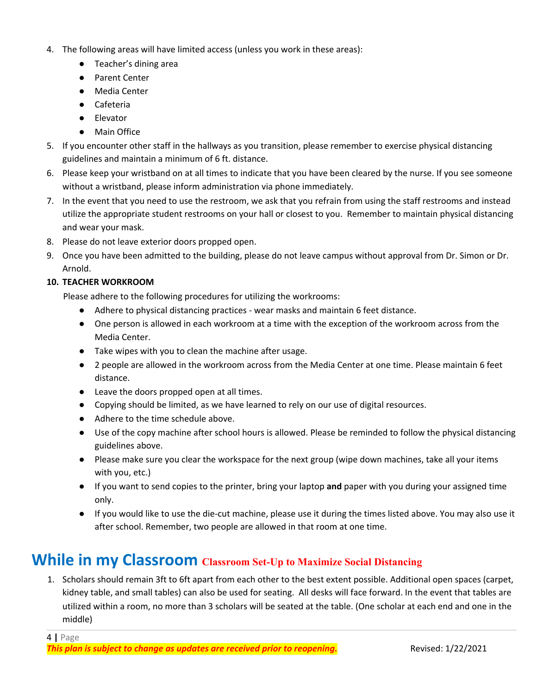- 4. The following areas will have limited access (unless you work in these areas):
	- Teacher's dining area
	- Parent Center
	- Media Center
	- Cafeteria
	- Elevator
	- Main Office
- 5. If you encounter other staff in the hallways as you transition, please remember to exercise physical distancing guidelines and maintain a minimum of 6 ft. distance.
- 6. Please keep your wristband on at all times to indicate that you have been cleared by the nurse. If you see someone without a wristband, please inform administration via phone immediately.
- 7. In the event that you need to use the restroom, we ask that you refrain from using the staff restrooms and instead utilize the appropriate student restrooms on your hall or closest to you. Remember to maintain physical distancing and wear your mask.
- 8. Please do not leave exterior doors propped open.
- 9. Once you have been admitted to the building, please do not leave campus without approval from Dr. Simon or Dr. Arnold.

#### **10. TEACHER WORKROOM**

Please adhere to the following procedures for utilizing the workrooms:

- Adhere to physical distancing practices wear masks and maintain 6 feet distance.
- One person is allowed in each workroom at a time with the exception of the workroom across from the Media Center.
- Take wipes with you to clean the machine after usage.
- 2 people are allowed in the workroom across from the Media Center at one time. Please maintain 6 feet distance.
- Leave the doors propped open at all times.
- Copying should be limited, as we have learned to rely on our use of digital resources.
- Adhere to the time schedule above.
- Use of the copy machine after school hours is allowed. Please be reminded to follow the physical distancing guidelines above.
- Please make sure you clear the workspace for the next group (wipe down machines, take all your items with you, etc.)
- If you want to send copies to the printer, bring your laptop **and** paper with you during your assigned time only.
- If you would like to use the die-cut machine, please use it during the times listed above. You may also use it after school. Remember, two people are allowed in that room at one time.

#### **While in my Classroom Classroom Set-Up to Maximize Social Distancing**

1. Scholars should remain 3ft to 6ft apart from each other to the best extent possible. Additional open spaces (carpet, kidney table, and small tables) can also be used for seating. All desks will face forward. In the event that tables are utilized within a room, no more than 3 scholars will be seated at the table. (One scholar at each end and one in the middle)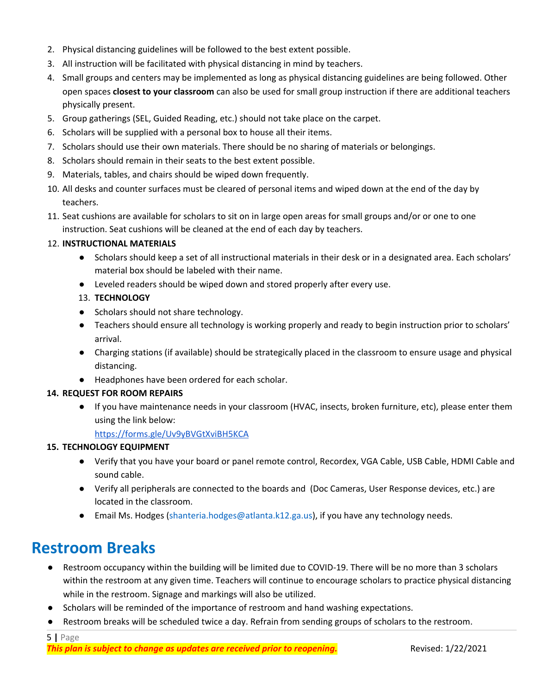- 2. Physical distancing guidelines will be followed to the best extent possible.
- 3. All instruction will be facilitated with physical distancing in mind by teachers.
- 4. Small groups and centers may be implemented as long as physical distancing guidelines are being followed. Other open spaces **closest to your classroom** can also be used for small group instruction if there are additional teachers physically present.
- 5. Group gatherings (SEL, Guided Reading, etc.) should not take place on the carpet.
- 6. Scholars will be supplied with a personal box to house all their items.
- 7. Scholars should use their own materials. There should be no sharing of materials or belongings.
- 8. Scholars should remain in their seats to the best extent possible.
- 9. Materials, tables, and chairs should be wiped down frequently.
- 10. All desks and counter surfaces must be cleared of personal items and wiped down at the end of the day by teachers.
- 11. Seat cushions are available for scholars to sit on in large open areas for small groups and/or or one to one instruction. Seat cushions will be cleaned at the end of each day by teachers.

#### 12. **INSTRUCTIONAL MATERIALS**

- Scholars should keep a set of all instructional materials in their desk or in a designated area. Each scholars' material box should be labeled with their name.
- Leveled readers should be wiped down and stored properly after every use.
- 13. **TECHNOLOGY**
- Scholars should not share technology.
- Teachers should ensure all technology is working properly and ready to begin instruction prior to scholars' arrival.
- Charging stations (if available) should be strategically placed in the classroom to ensure usage and physical distancing.
- Headphones have been ordered for each scholar.

#### **14. REQUEST FOR ROOM REPAIRS**

● If you have maintenance needs in your classroom (HVAC, insects, broken furniture, etc), please enter them using the link below:

<https://forms.gle/Uv9yBVGtXviBH5KCA>

#### **15. TECHNOLOGY EQUIPMENT**

- Verify that you have your board or panel remote control, Recordex, VGA Cable, USB Cable, HDMI Cable and sound cable.
- Verify all peripherals are connected to the boards and (Doc Cameras, User Response devices, etc.) are located in the classroom.
- Email Ms. Hodges [\(shanteria.hodges@atlanta.k12.ga.us](mailto:shanteria.hodges@atlanta.k12.ga.us)), if you have any technology needs.

### **Restroom Breaks**

- Restroom occupancy within the building will be limited due to COVID-19. There will be no more than 3 scholars within the restroom at any given time. Teachers will continue to encourage scholars to practice physical distancing while in the restroom. Signage and markings will also be utilized.
- Scholars will be reminded of the importance of restroom and hand washing expectations.
- Restroom breaks will be scheduled twice a day. Refrain from sending groups of scholars to the restroom.

5 **|** Page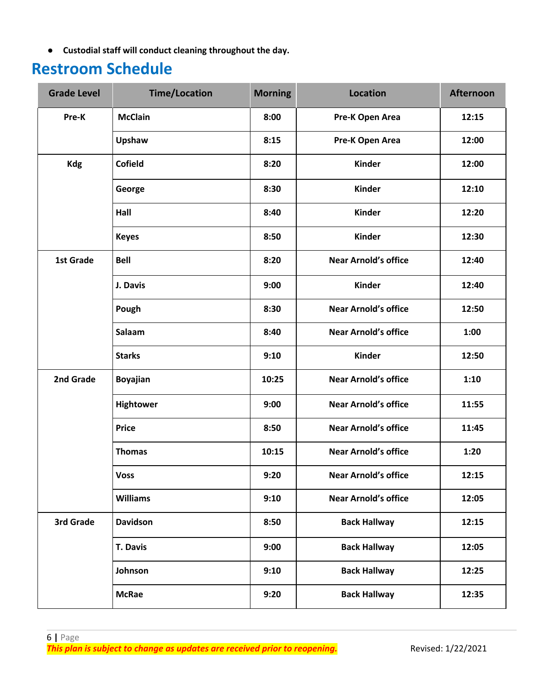● **Custodial staff will conduct cleaning throughout the day.**

### **Restroom Schedule**

| <b>Grade Level</b> | <b>Time/Location</b> | <b>Morning</b> | <b>Location</b>             | <b>Afternoon</b> |
|--------------------|----------------------|----------------|-----------------------------|------------------|
| Pre-K              | <b>McClain</b>       | 8:00           | Pre-K Open Area             | 12:15            |
|                    | Upshaw               | 8:15           | Pre-K Open Area             | 12:00            |
| <b>Kdg</b>         | <b>Cofield</b>       | 8:20           | <b>Kinder</b>               | 12:00            |
|                    | George               | 8:30           | <b>Kinder</b>               | 12:10            |
|                    | Hall                 | 8:40           | <b>Kinder</b>               | 12:20            |
|                    | <b>Keyes</b>         | 8:50           | <b>Kinder</b>               | 12:30            |
| 1st Grade          | <b>Bell</b>          | 8:20           | <b>Near Arnold's office</b> | 12:40            |
|                    | J. Davis             | 9:00           | <b>Kinder</b>               | 12:40            |
|                    | Pough                | 8:30           | <b>Near Arnold's office</b> | 12:50            |
|                    | Salaam               | 8:40           | <b>Near Arnold's office</b> | 1:00             |
|                    | <b>Starks</b>        | 9:10           | <b>Kinder</b>               | 12:50            |
| 2nd Grade          | <b>Boyajian</b>      | 10:25          | <b>Near Arnold's office</b> | 1:10             |
|                    | Hightower            | 9:00           | <b>Near Arnold's office</b> | 11:55            |
|                    | <b>Price</b>         | 8:50           | <b>Near Arnold's office</b> | 11:45            |
|                    | <b>Thomas</b>        | 10:15          | <b>Near Arnold's office</b> | 1:20             |
|                    | <b>Voss</b>          | 9:20           | <b>Near Arnold's office</b> | 12:15            |
|                    | <b>Williams</b>      | 9:10           | <b>Near Arnold's office</b> | 12:05            |
| 3rd Grade          | <b>Davidson</b>      | 8:50           | <b>Back Hallway</b>         | 12:15            |
|                    | <b>T. Davis</b>      | 9:00           | <b>Back Hallway</b>         | 12:05            |
|                    | Johnson              | 9:10           | <b>Back Hallway</b>         | 12:25            |
|                    | <b>McRae</b>         | 9:20           | <b>Back Hallway</b>         | 12:35            |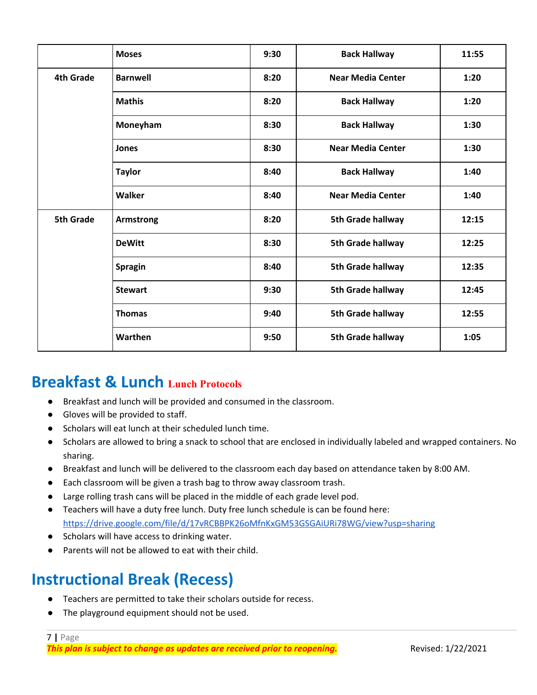|                  | <b>Moses</b>     | 9:30 | <b>Back Hallway</b>      | 11:55 |
|------------------|------------------|------|--------------------------|-------|
| <b>4th Grade</b> | <b>Barnwell</b>  | 8:20 | <b>Near Media Center</b> | 1:20  |
|                  | <b>Mathis</b>    | 8:20 | <b>Back Hallway</b>      | 1:20  |
|                  | Moneyham         | 8:30 | <b>Back Hallway</b>      | 1:30  |
|                  | Jones            | 8:30 | <b>Near Media Center</b> | 1:30  |
|                  | <b>Taylor</b>    | 8:40 | <b>Back Hallway</b>      | 1:40  |
|                  | Walker           | 8:40 | <b>Near Media Center</b> | 1:40  |
| <b>5th Grade</b> | <b>Armstrong</b> | 8:20 | 5th Grade hallway        | 12:15 |
|                  | <b>DeWitt</b>    | 8:30 | 5th Grade hallway        | 12:25 |
|                  | <b>Spragin</b>   | 8:40 | 5th Grade hallway        | 12:35 |
|                  | <b>Stewart</b>   | 9:30 | 5th Grade hallway        | 12:45 |
|                  | <b>Thomas</b>    | 9:40 | 5th Grade hallway        | 12:55 |
|                  | Warthen          | 9:50 | 5th Grade hallway        | 1:05  |

#### **Breakfast & Lunch Lunch Protocols**

- Breakfast and lunch will be provided and consumed in the classroom.
- Gloves will be provided to staff.
- Scholars will eat lunch at their scheduled lunch time.
- Scholars are allowed to bring a snack to school that are enclosed in individually labeled and wrapped containers. No sharing.
- Breakfast and lunch will be delivered to the classroom each day based on attendance taken by 8:00 AM.
- Each classroom will be given a trash bag to throw away classroom trash.
- Large rolling trash cans will be placed in the middle of each grade level pod.
- Teachers will have a duty free lunch. Duty free lunch schedule is can be found here: <https://drive.google.com/file/d/17vRCBBPK26oMfnKxGM53GSGAiURi78WG/view?usp=sharing>
- Scholars will have access to drinking water.
- Parents will not be allowed to eat with their child.

### **Instructional Break (Recess)**

- Teachers are permitted to take their scholars outside for recess.
- The playground equipment should not be used.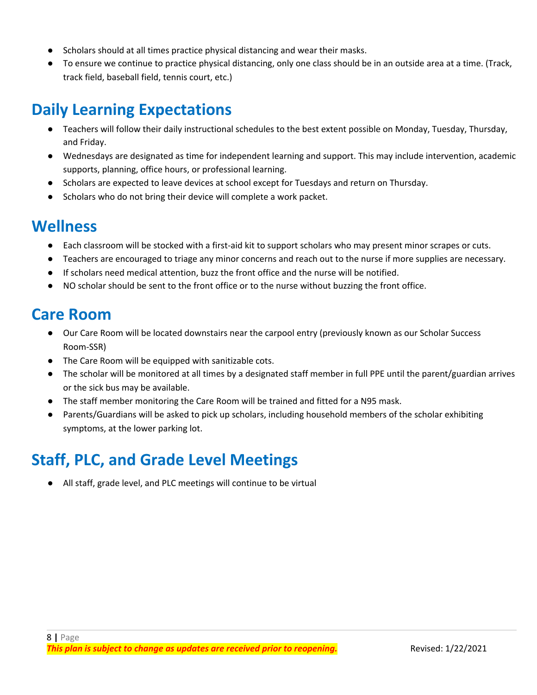- Scholars should at all times practice physical distancing and wear their masks.
- To ensure we continue to practice physical distancing, only one class should be in an outside area at a time. (Track, track field, baseball field, tennis court, etc.)

## **Daily Learning Expectations**

- Teachers will follow their daily instructional schedules to the best extent possible on Monday, Tuesday, Thursday, and Friday.
- Wednesdays are designated as time for independent learning and support. This may include intervention, academic supports, planning, office hours, or professional learning.
- Scholars are expected to leave devices at school except for Tuesdays and return on Thursday.
- Scholars who do not bring their device will complete a work packet.

#### **Wellness**

- Each classroom will be stocked with a first-aid kit to support scholars who may present minor scrapes or cuts.
- Teachers are encouraged to triage any minor concerns and reach out to the nurse if more supplies are necessary.
- If scholars need medical attention, buzz the front office and the nurse will be notified.
- NO scholar should be sent to the front office or to the nurse without buzzing the front office.

#### **Care Room**

- Our Care Room will be located downstairs near the carpool entry (previously known as our Scholar Success Room-SSR)
- The Care Room will be equipped with sanitizable cots.
- The scholar will be monitored at all times by a designated staff member in full PPE until the parent/guardian arrives or the sick bus may be available.
- The staff member monitoring the Care Room will be trained and fitted for a N95 mask.
- Parents/Guardians will be asked to pick up scholars, including household members of the scholar exhibiting symptoms, at the lower parking lot.

## **Staff, PLC, and Grade Level Meetings**

All staff, grade level, and PLC meetings will continue to be virtual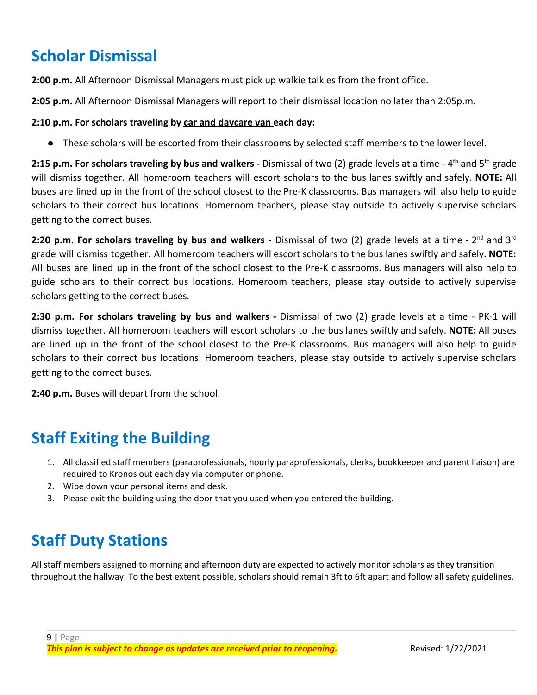# **Scholar Dismissal**

**2:00 p.m.** All Afternoon Dismissal Managers must pick up walkie talkies from the front office.

**2:05 p.m.** All Afternoon Dismissal Managers will report to their dismissal location no later than 2:05p.m.

#### **2:10 p.m. For scholars traveling by car and daycare van each day:**

● These scholars will be escorted from their classrooms by selected staff members to the lower level.

**2:15 p.m. For scholars traveling by bus and walkers -** Dismissal of two (2) grade levels at a time - 4 th and 5 th grade will dismiss together. All homeroom teachers will escort scholars to the bus lanes swiftly and safely. **NOTE:** All buses are lined up in the front of the school closest to the Pre-K classrooms. Bus managers will also help to guide scholars to their correct bus locations. Homeroom teachers, please stay outside to actively supervise scholars getting to the correct buses.

**2:20 p.m. For scholars traveling by bus and walkers - Dismissal of two (2) grade levels at a time - 2<sup>nd</sup> and 3<sup>rd</sup>** grade will dismiss together. All homeroom teachers will escort scholars to the bus lanes swiftly and safely. **NOTE:** All buses are lined up in the front of the school closest to the Pre-K classrooms. Bus managers will also help to guide scholars to their correct bus locations. Homeroom teachers, please stay outside to actively supervise scholars getting to the correct buses.

**2:30 p.m. For scholars traveling by bus and walkers -** Dismissal of two (2) grade levels at a time - PK-1 will dismiss together. All homeroom teachers will escort scholars to the bus lanes swiftly and safely. **NOTE:** All buses are lined up in the front of the school closest to the Pre-K classrooms. Bus managers will also help to guide scholars to their correct bus locations. Homeroom teachers, please stay outside to actively supervise scholars getting to the correct buses.

**2:40 p.m.** Buses will depart from the school.

### **Staff Exiting the Building**

- 1. All classified staff members (paraprofessionals, hourly paraprofessionals, clerks, bookkeeper and parent liaison) are required to Kronos out each day via computer or phone.
- 2. Wipe down your personal items and desk.
- 3. Please exit the building using the door that you used when you entered the building.

# **Staff Duty Stations**

All staff members assigned to morning and afternoon duty are expected to actively monitor scholars as they transition throughout the hallway. To the best extent possible, scholars should remain 3ft to 6ft apart and follow all safety guidelines.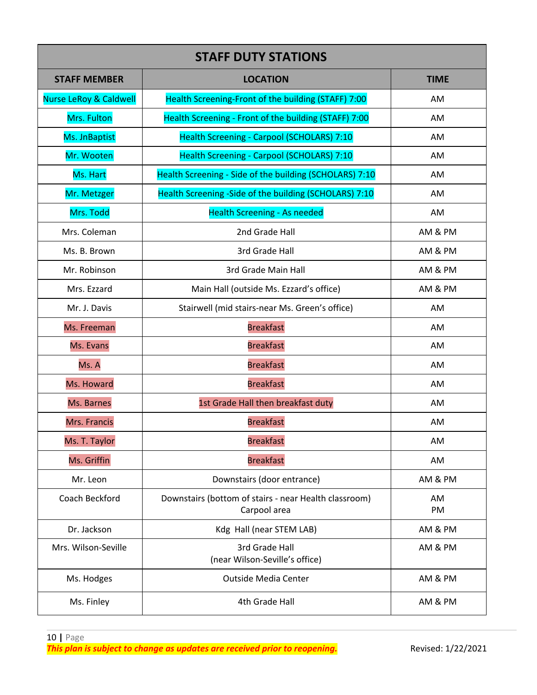| <b>STAFF DUTY STATIONS</b>        |                                                                       |             |  |
|-----------------------------------|-----------------------------------------------------------------------|-------------|--|
| <b>STAFF MEMBER</b>               | <b>LOCATION</b>                                                       | <b>TIME</b> |  |
| <b>Nurse LeRoy &amp; Caldwell</b> | Health Screening-Front of the building (STAFF) 7:00                   | AM          |  |
| Mrs. Fulton                       | Health Screening - Front of the building (STAFF) 7:00                 | AM          |  |
| Ms. JnBaptist                     | Health Screening - Carpool (SCHOLARS) 7:10                            | AM          |  |
| Mr. Wooten                        | Health Screening - Carpool (SCHOLARS) 7:10                            | AM          |  |
| Ms. Hart                          | Health Screening - Side of the building (SCHOLARS) 7:10               | AM          |  |
| Mr. Metzger                       | Health Screening -Side of the building (SCHOLARS) 7:10                | AM          |  |
| Mrs. Todd                         | <b>Health Screening - As needed</b>                                   | AM          |  |
| Mrs. Coleman                      | 2nd Grade Hall                                                        | AM & PM     |  |
| Ms. B. Brown                      | 3rd Grade Hall                                                        | AM & PM     |  |
| Mr. Robinson                      | 3rd Grade Main Hall                                                   | AM & PM     |  |
| Mrs. Ezzard                       | Main Hall (outside Ms. Ezzard's office)                               | AM & PM     |  |
| Mr. J. Davis                      | Stairwell (mid stairs-near Ms. Green's office)                        | AM          |  |
| Ms. Freeman                       | <b>Breakfast</b>                                                      | AM          |  |
| Ms. Evans                         | <b>Breakfast</b>                                                      | AM          |  |
| Ms. A                             | <b>Breakfast</b>                                                      | AM          |  |
| Ms. Howard                        | <b>Breakfast</b>                                                      | AM          |  |
| Ms. Barnes                        | 1st Grade Hall then breakfast duty                                    | AM          |  |
| Mrs. Francis                      | <b>Breakfast</b>                                                      | AM          |  |
| Ms. T. Taylor                     | <b>Breakfast</b>                                                      | AM          |  |
| Ms. Griffin                       | <b>Breakfast</b>                                                      | AM          |  |
| Mr. Leon                          | Downstairs (door entrance)                                            | AM & PM     |  |
| Coach Beckford                    | Downstairs (bottom of stairs - near Health classroom)<br>Carpool area | AM<br>PM    |  |
| Dr. Jackson                       | Kdg Hall (near STEM LAB)                                              | AM & PM     |  |
| Mrs. Wilson-Seville               | 3rd Grade Hall<br>(near Wilson-Seville's office)                      | AM & PM     |  |
| Ms. Hodges                        | <b>Outside Media Center</b>                                           | AM & PM     |  |
| Ms. Finley                        | 4th Grade Hall                                                        | AM & PM     |  |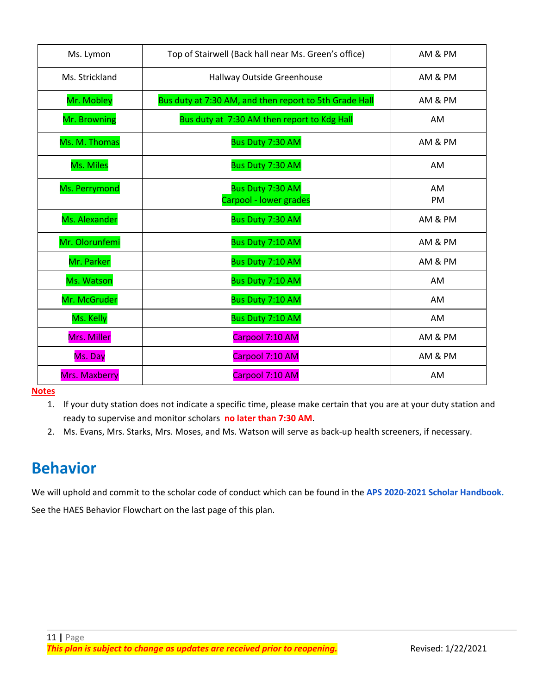| Ms. Lymon      | Top of Stairwell (Back hall near Ms. Green's office)   | AM & PM         |
|----------------|--------------------------------------------------------|-----------------|
| Ms. Strickland | Hallway Outside Greenhouse                             | AM & PM         |
| Mr. Mobley     | Bus duty at 7:30 AM, and then report to 5th Grade Hall | AM & PM         |
| Mr. Browning   | Bus duty at 7:30 AM then report to Kdg Hall            | AM              |
| Ms. M. Thomas  | Bus Duty 7:30 AM                                       | AM & PM         |
| Ms. Miles      | Bus Duty 7:30 AM                                       | <b>AM</b>       |
| Ms. Perrymond  | Bus Duty 7:30 AM<br>Carpool - lower grades             | AM<br><b>PM</b> |
| Ms. Alexander  | Bus Duty 7:30 AM                                       | AM & PM         |
| Mr. Olorunfemi | Bus Duty 7:10 AM                                       | AM & PM         |
| Mr. Parker     | Bus Duty 7:10 AM                                       | AM & PM         |
| Ms. Watson     | Bus Duty 7:10 AM                                       | AM              |
| Mr. McGruder   | Bus Duty 7:10 AM                                       | AM              |
| Ms. Kelly      | Bus Duty 7:10 AM                                       | AM              |
| Mrs. Miller    | Carpool 7:10 AM                                        | AM & PM         |
| Ms. Day        | Carpool 7:10 AM                                        | AM & PM         |
| Mrs. Maxberry  | Carpool 7:10 AM                                        | AM              |

**Notes**

1. If your duty station does not indicate a specific time, please make certain that you are at your duty station and ready to supervise and monitor scholars **no later than 7:30 AM**.

2. Ms. Evans, Mrs. Starks, Mrs. Moses, and Ms. Watson will serve as back-up health screeners, if necessary.

### **Behavior**

We will uphold and commit to the scholar code of conduct which can be found in the **APS [2020-2021](https://www.atlantapublicschools.us/cms/lib/GA01000924/Centricity/Domain/94/APS_ENG%25252020-21%252520Student%252520Handbook%252520Final.pdf) Scholar Handbook.** See the HAES Behavior Flowchart on the last page of this plan.